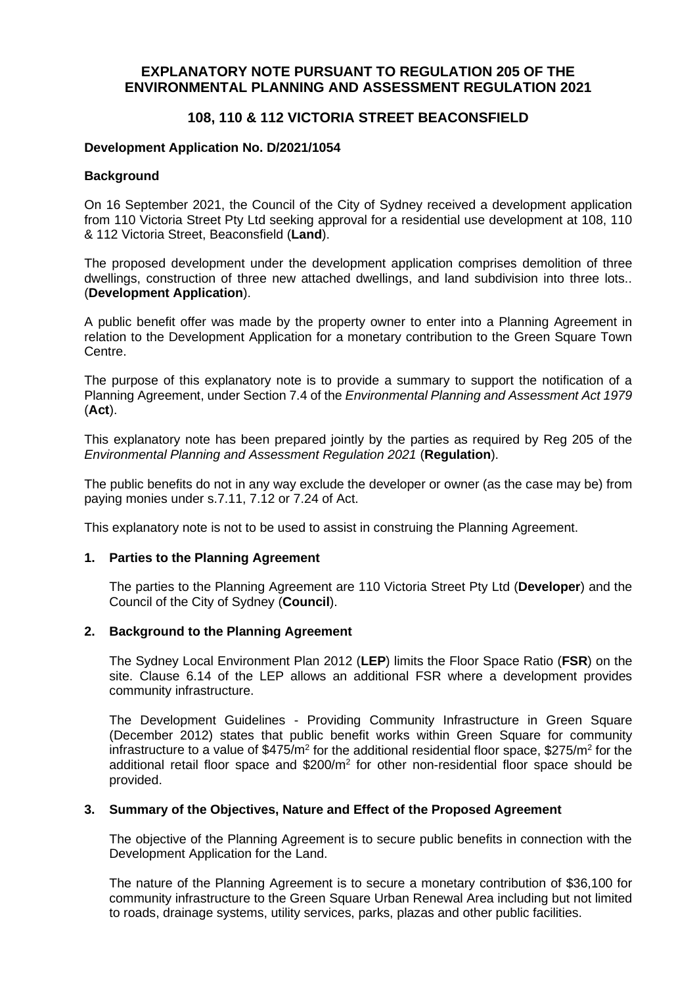# **EXPLANATORY NOTE PURSUANT TO REGULATION 205 OF THE ENVIRONMENTAL PLANNING AND ASSESSMENT REGULATION 2021**

# **108, 110 & 112 VICTORIA STREET BEACONSFIELD**

## **Development Application No. D/2021/1054**

## **Background**

On 16 September 2021, the Council of the City of Sydney received a development application from 110 Victoria Street Pty Ltd seeking approval for a residential use development at 108, 110 & 112 Victoria Street, Beaconsfield (**Land**).

The proposed development under the development application comprises demolition of three dwellings, construction of three new attached dwellings, and land subdivision into three lots.. (**Development Application**).

A public benefit offer was made by the property owner to enter into a Planning Agreement in relation to the Development Application for a monetary contribution to the Green Square Town Centre.

The purpose of this explanatory note is to provide a summary to support the notification of a Planning Agreement, under Section 7.4 of the *Environmental Planning and Assessment Act 1979*  (**Act**).

This explanatory note has been prepared jointly by the parties as required by Reg 205 of the *Environmental Planning and Assessment Regulation 2021* (**Regulation**).

The public benefits do not in any way exclude the developer or owner (as the case may be) from paying monies under s.7.11, 7.12 or 7.24 of Act.

This explanatory note is not to be used to assist in construing the Planning Agreement.

## **1. Parties to the Planning Agreement**

The parties to the Planning Agreement are 110 Victoria Street Pty Ltd (**Developer**) and the Council of the City of Sydney (**Council**).

## **2. Background to the Planning Agreement**

The Sydney Local Environment Plan 2012 (**LEP**) limits the Floor Space Ratio (**FSR**) on the site. Clause 6.14 of the LEP allows an additional FSR where a development provides community infrastructure.

The Development Guidelines - Providing Community Infrastructure in Green Square (December 2012) states that public benefit works within Green Square for community infrastructure to a value of  $$475/m<sup>2</sup>$  for the additional residential floor space,  $$275/m<sup>2</sup>$  for the additional retail floor space and  $$200/m^2$  for other non-residential floor space should be provided.

### **3. Summary of the Objectives, Nature and Effect of the Proposed Agreement**

The objective of the Planning Agreement is to secure public benefits in connection with the Development Application for the Land.

The nature of the Planning Agreement is to secure a monetary contribution of \$36,100 for community infrastructure to the Green Square Urban Renewal Area including but not limited to roads, drainage systems, utility services, parks, plazas and other public facilities.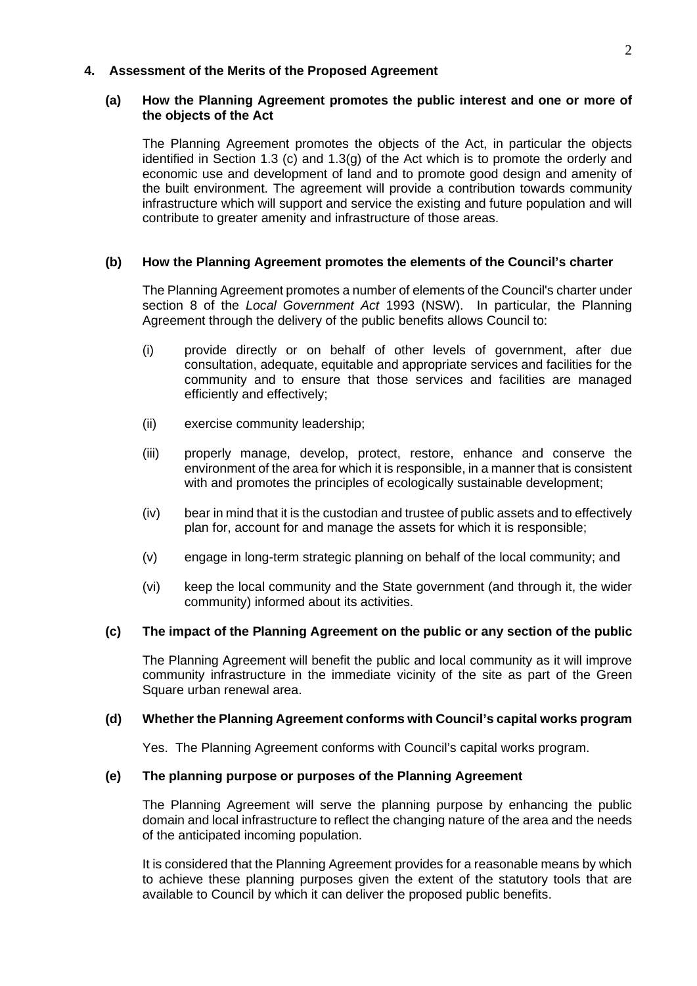## **4. Assessment of the Merits of the Proposed Agreement**

## **(a) How the Planning Agreement promotes the public interest and one or more of the objects of the Act**

The Planning Agreement promotes the objects of the Act, in particular the objects identified in Section 1.3 (c) and 1.3(g) of the Act which is to promote the orderly and economic use and development of land and to promote good design and amenity of the built environment. The agreement will provide a contribution towards community infrastructure which will support and service the existing and future population and will contribute to greater amenity and infrastructure of those areas.

### **(b) How the Planning Agreement promotes the elements of the Council's charter**

The Planning Agreement promotes a number of elements of the Council's charter under section 8 of the *Local Government Act* 1993 (NSW). In particular, the Planning Agreement through the delivery of the public benefits allows Council to:

- (i) provide directly or on behalf of other levels of government, after due consultation, adequate, equitable and appropriate services and facilities for the community and to ensure that those services and facilities are managed efficiently and effectively;
- (ii) exercise community leadership;
- (iii) properly manage, develop, protect, restore, enhance and conserve the environment of the area for which it is responsible, in a manner that is consistent with and promotes the principles of ecologically sustainable development:
- (iv) bear in mind that it is the custodian and trustee of public assets and to effectively plan for, account for and manage the assets for which it is responsible;
- (v) engage in long-term strategic planning on behalf of the local community; and
- (vi) keep the local community and the State government (and through it, the wider community) informed about its activities.

### **(c) The impact of the Planning Agreement on the public or any section of the public**

The Planning Agreement will benefit the public and local community as it will improve community infrastructure in the immediate vicinity of the site as part of the Green Square urban renewal area.

### **(d) Whether the Planning Agreement conforms with Council's capital works program**

Yes. The Planning Agreement conforms with Council's capital works program.

## **(e) The planning purpose or purposes of the Planning Agreement**

The Planning Agreement will serve the planning purpose by enhancing the public domain and local infrastructure to reflect the changing nature of the area and the needs of the anticipated incoming population.

It is considered that the Planning Agreement provides for a reasonable means by which to achieve these planning purposes given the extent of the statutory tools that are available to Council by which it can deliver the proposed public benefits.